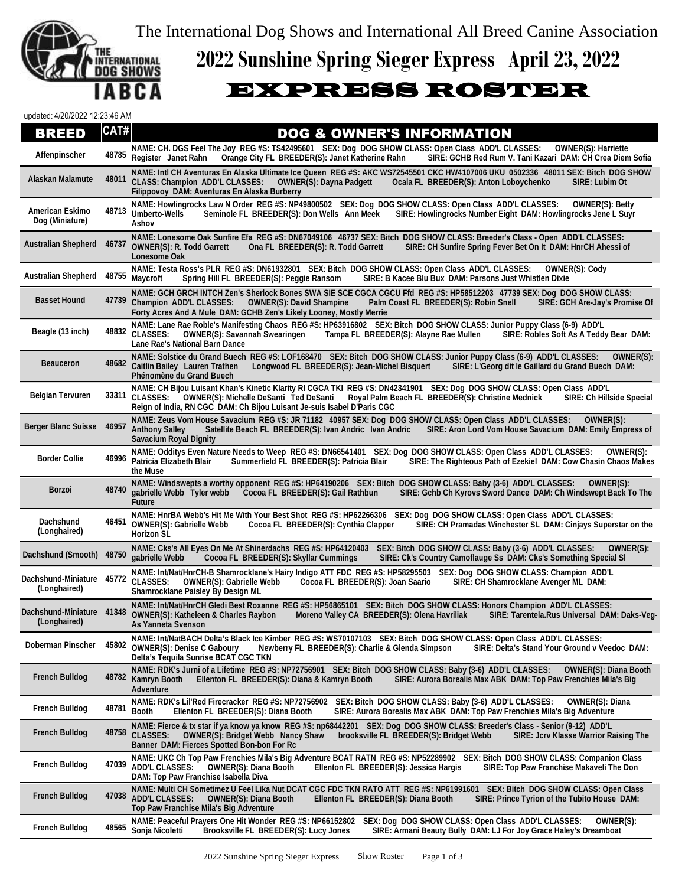The International Dog Shows and International All Breed Canine Association



## **2022 Sunshine Spring Sieger Express April 23, 2022**

## EXPRESS ROSTER

updated: 4/20/2022 12:23:46 AM

## **BREED** CAT# DOG & OWNER'S INFORMATION

| Affenpinscher                              |       | NAME: CH. DGS Feel The Joy REG #S: TS42495601 SEX: Dog DOG SHOW CLASS: Open Class ADD'L CLASSES:<br><b>OWNER(S): Harriette</b><br>48785 Register Janet Rahn<br>Orange City FL BREEDER(S): Janet Katherine Rahn<br>SIRE: GCHB Red Rum V. Tani Kazari DAM: CH Crea Diem Sofia                                                                                    |
|--------------------------------------------|-------|----------------------------------------------------------------------------------------------------------------------------------------------------------------------------------------------------------------------------------------------------------------------------------------------------------------------------------------------------------------|
| Alaskan Malamute                           |       | NAME: Intl CH Aventuras En Alaska Ultimate Ice Queen REG #S: AKC WS72545501 CKC HW4107006 UKU 0502336 48011 SEX: Bitch DOG SHOW<br>48011 CLASS: Champion ADD'L CLASSES:<br><b>OWNER(S): Dayna Padgett</b><br>Ocala FL BREEDER(S): Anton Loboychenko<br>SIRE: Lubim Ot<br>Filippovoy DAM: Aventuras En Alaska Burberry                                          |
| American Eskimo<br>Dog (Miniature)         | 48713 | NAME: Howlingrocks Law N Order REG #S: NP49800502 SEX: Dog DOG SHOW CLASS: Open Class ADD'L CLASSES:<br><b>OWNER(S): Betty</b><br><b>Umberto-Wells</b><br>Seminole FL BREEDER(S): Don Wells Ann Meek<br>SIRE: Howlingrocks Number Eight DAM: Howlingrocks Jene L Suyr<br>Ashov                                                                                 |
| <b>Australian Shepherd</b>                 | 46737 | NAME: Lonesome Oak Sunfire Efa REG #S: DN67049106 46737 SEX: Bitch DOG SHOW CLASS: Breeder's Class - Open ADD'L CLASSES:<br><b>OWNER(S): R. Todd Garrett</b><br>Ona FL BREEDER(S): R. Todd Garrett<br>SIRE: CH Sunfire Spring Fever Bet On It DAM: HnrCH Ahessi of<br>Lonesome Oak                                                                             |
| <b>Australian Shepherd</b>                 | 48755 | NAME: Testa Ross's PLR REG #S: DN61932801 SEX: Bitch DOG SHOW CLASS: Open Class ADD'L CLASSES:<br><b>OWNER(S): Cody</b><br>Maycroft<br>SIRE: B Kacee Blu Bux DAM: Parsons Just Whistlen Dixie<br>Spring Hill FL BREEDER(S): Peggie Ransom                                                                                                                      |
| <b>Basset Hound</b>                        | 47739 | NAME: GCH GRCH INTCH Zen's Sherlock Bones SWA SIE SCE CGCA CGCU Ffd REG #S: HP58512203 47739 SEX: Dog DOG SHOW CLASS:<br>Champion ADD'L CLASSES: OWNER(S): David Shampine<br>SIRE: GCH Are-Jay's Promise Of<br>Palm Coast FL BREEDER(S): Robin Snell<br>Forty Acres And A Mule DAM: GCHB Zen's Likely Looney, Mostly Merrie                                    |
| Beagle (13 inch)                           | 48832 | NAME: Lane Rae Roble's Manifesting Chaos REG #S: HP63916802 SEX: Bitch DOG SHOW CLASS: Junior Puppy Class (6-9) ADD'L<br><b>CLASSES:</b><br><b>OWNER(S): Savannah Swearingen</b><br>Tampa FL BREEDER(S): Alayne Rae Mullen<br>SIRE: Robles Soft As A Teddy Bear DAM:<br>Lane Rae's National Barn Dance                                                         |
| <b>Beauceron</b>                           |       | NAME: Solstice du Grand Buech REG #S: LOF168470 SEX: Bitch DOG SHOW CLASS: Junior Puppy Class (6-9) ADD'L CLASSES:<br>OWNER(S):<br>48682 Caitlin Bailey Lauren Trathen<br>Longwood FL BREEDER(S): Jean-Michel Bisquert<br>SIRE: L'Georg dit le Gaillard du Grand Buech DAM:<br>Phénomène du Grand Buech                                                        |
| <b>Belgian Tervuren</b>                    | 33311 | NAME: CH Bijou Luisant Khan's Kinetic Klarity RI CGCA TKI REG #S: DN42341901 SEX: Dog DOG SHOW CLASS: Open Class ADD'L<br><b>CLASSES:</b><br>Royal Palm Beach FL BREEDER(S): Christine Mednick<br><b>SIRE: Ch Hillside Special</b><br><b>OWNER(S): Michelle DeSanti Ted DeSanti</b><br>Reign of India, RN CGC DAM: Ch Bijou Luisant Je-suis Isabel D'Paris CGC |
| <b>Berger Blanc Suisse</b>                 | 46957 | NAME: Zeus Vom House Savacium REG #S: JR 71182 40957 SEX: Dog DOG SHOW CLASS: Open Class ADD'L CLASSES:<br>OWNER(S):<br>SIRE: Aron Lord Vom House Savacium DAM: Emily Empress of<br><b>Anthony Salley</b><br>Satellite Beach FL BREEDER(S): Ivan Andric Ivan Andric<br><b>Savacium Royal Dignity</b>                                                           |
| <b>Border Collie</b>                       |       | NAME: Odditys Even Nature Needs to Weep REG #S: DN66541401 SEX: Dog DOG SHOW CLASS: Open Class ADD'L CLASSES:<br>OWNER(S):<br>46996 Patricia Elizabeth Blair<br>Summerfield FL BREEDER(S): Patricia Blair<br>SIRE: The Righteous Path of Ezekiel DAM: Cow Chasin Chaos Makes<br>the Muse                                                                       |
| <b>Borzoi</b>                              | 48740 | NAME: Windswepts a worthy opponent REG #S: HP64190206 SEX: Bitch DOG SHOW CLASS: Baby (3-6) ADD'L CLASSES:<br>OWNER(S):<br>gabrielle Webb Tyler webb Cocoa FL BREEDER(S): Gail Rathbun<br>SIRE: Gchb Ch Kyrovs Sword Dance DAM: Ch Windswept Back To The<br><b>Future</b>                                                                                      |
| Dachshund<br>(Longhaired)                  | 46451 | NAME: HnrBA Webb's Hit Me With Your Best Shot REG #S: HP62266306 SEX: Dog DOG SHOW CLASS: Open Class ADD'L CLASSES:<br><b>OWNER(S): Gabrielle Webb</b><br>SIRE: CH Pramadas Winchester SL DAM: Cinjays Superstar on the<br>Cocoa FL BREEDER(S): Cynthia Clapper<br><b>Horizon SL</b>                                                                           |
| Dachshund (Smooth)                         | 48750 | NAME: Cks's All Eyes On Me At Shinerdachs REG #S: HP64120403 SEX: Bitch DOG SHOW CLASS: Baby (3-6) ADD'L CLASSES:<br>OWNER(S):<br>gabrielle Webb<br>Cocoa FL BREEDER(S): Skyllar Cummings<br>SIRE: Ck's Country Camoflauge Ss DAM: Cks's Something Special SI                                                                                                  |
| <b>Dachshund-Miniature</b><br>(Longhaired) | 45772 | NAME: Int/Nat/HnrCH-B Shamrocklane's Hairy Indigo ATT FDC REG #S: HP58295503 SEX: Dog DOG SHOW CLASS: Champion ADD'L<br><b>CLASSES:</b><br><b>OWNER(S): Gabrielle Webb</b><br>Cocoa FL BREEDER(S): Joan Saario<br>SIRE: CH Shamrocklane Avenger ML DAM:<br>Shamrocklane Paisley By Design ML                                                                   |
| Dachshund-Miniature 41348<br>(Longhaired)  |       | NAME: Int/Nat/HnrCH Gledi Best Roxanne REG #S: HP56865101 SEX: Bitch DOG SHOW CLASS: Honors Champion ADD'L CLASSES:<br><b>OWNER(S): Katheleen &amp; Charles Raybon</b><br>Moreno Valley CA BREEDER(S): Olena Havriliak<br>SIRE: Tarentela.Rus Universal DAM: Daks-Veq-<br>As Yanneta Svenson                                                                   |
|                                            |       | NAME: Int/NatBACH Delta's Black Ice Kimber REG #S: WS70107103 SEX: Bitch DOG SHOW CLASS: Open Class ADD'L CLASSES:<br>Doberman Pinscher 45802 OWNER(S): Denise C Gaboury<br>Newberry FL BREEDER(S): Charlie & Glenda Simpson<br>SIRE: Delta's Stand Your Ground v Veedoc DAM:<br>Delta's Tequila Sunrise BCAT CGC TKN                                          |
| <b>French Bulldog</b>                      | 48782 | NAME: RDK's Jurni of a Lifetime REG #S: NP72756901 SEX: Bitch DOG SHOW CLASS: Baby (3-6) ADD'L CLASSES:<br><b>OWNER(S): Diana Booth</b><br>Kamryn Booth<br>Ellenton FL BREEDER(S): Diana & Kamryn Booth<br>SIRE: Aurora Borealis Max ABK DAM: Top Paw Frenchies Mila's Big<br>Adventure                                                                        |
| French Bulldog                             | 48781 | NAME: RDK's Lil'Red Firecracker REG #S: NP72756902<br>SEX: Bitch DOG SHOW CLASS: Baby (3-6) ADD'L CLASSES:<br>OWNER(S): Diana<br><b>Booth</b><br>Ellenton FL BREEDER(S): Diana Booth<br>SIRE: Aurora Borealis Max ABK DAM: Top Paw Frenchies Mila's Big Adventure                                                                                              |
| <b>French Bulldog</b>                      | 48758 | NAME: Fierce & tx star if ya know ya know REG #S: np68442201 SEX: Dog DOG SHOW CLASS: Breeder's Class - Senior (9-12) ADD'L<br><b>CLASSES:</b><br><b>OWNER(S): Bridget Webb Nancy Shaw</b><br>brooksville FL BREEDER(S): Bridget Webb<br>SIRE: Jcrv Klasse Warrior Raising The<br>Banner DAM: Fierces Spotted Bon-bon For Rc                                   |
| <b>French Bulldog</b>                      | 47039 | NAME: UKC Ch Top Paw Frenchies Mila's Big Adventure BCAT RATN REG #S: NP52289902 SEX: Bitch DOG SHOW CLASS: Companion Class<br><b>ADD'L CLASSES:</b><br><b>OWNER(S): Diana Booth</b><br>Ellenton FL BREEDER(S): Jessica Hargis<br>SIRE: Top Paw Franchise Makaveli The Don<br>DAM: Top Paw Franchise Isabella Diva                                             |
| <b>French Bulldog</b>                      | 47038 | NAME: Multi CH Sometimez U Feel Lika Nut DCAT CGC FDC TKN RATO ATT REG #S: NP61991601<br>SEX: Bitch DOG SHOW CLASS: Open Class<br><b>ADD'L CLASSES:</b><br><b>OWNER(S): Diana Booth</b><br>SIRE: Prince Tyrion of the Tubito House DAM:<br>Ellenton FL BREEDER(S): Diana Booth<br>Top Paw Franchise Mila's Big Adventure                                       |
| French Bulldog                             | 48565 | NAME: Peaceful Prayers One Hit Wonder REG #S: NP66152802 SEX: Dog DOG SHOW CLASS: Open Class ADD'L CLASSES:<br>OWNER(S):<br>SIRE: Armani Beauty Bully DAM: LJ For Joy Grace Haley's Dreamboat<br>Sonja Nicoletti<br>Brooksville FL BREEDER(S): Lucy Jones                                                                                                      |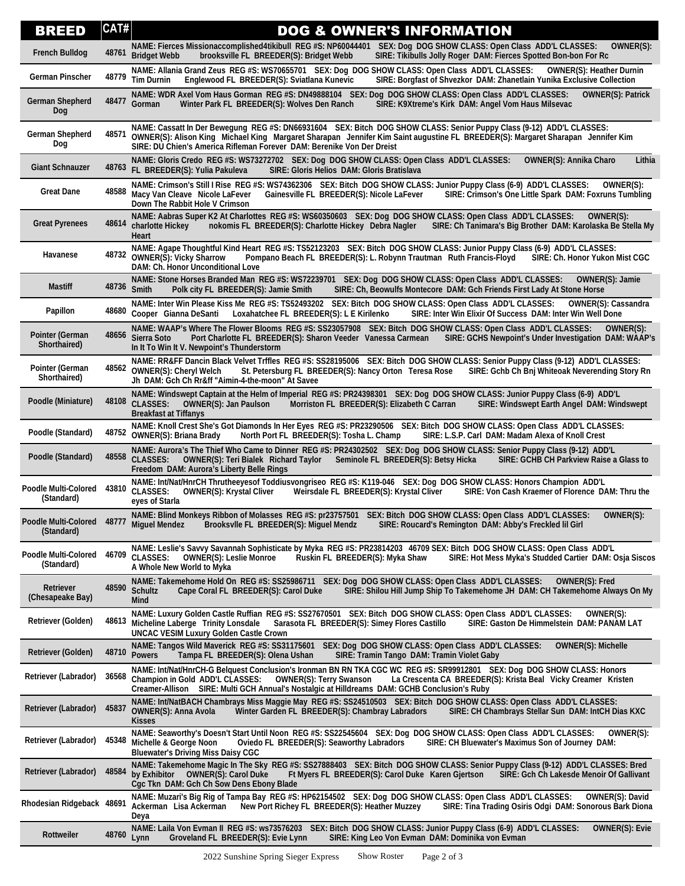| <b>BREED</b>                              | CAT#  | <b>DOG &amp; OWNER'S INFORMATION</b>                                                                                                                                                                                                                                                                                                                |
|-------------------------------------------|-------|-----------------------------------------------------------------------------------------------------------------------------------------------------------------------------------------------------------------------------------------------------------------------------------------------------------------------------------------------------|
| <b>French Bulldog</b>                     |       | NAME: Fierces Missionaccomplished4tikibull REG #S: NP60044401 SEX: Dog DOG SHOW CLASS: Open Class ADD'L CLASSES:<br>OWNER(S):<br>48761 Bridget Webb<br>brooksville FL BREEDER(S): Bridget Webb<br>SIRE: Tikibulls Jolly Roger DAM: Fierces Spotted Bon-bon For Rc                                                                                   |
| German Pinscher                           |       | NAME: Allania Grand Zeus REG #S: WS70655701 SEX: Dog DOG SHOW CLASS: Open Class ADD'L CLASSES:<br><b>OWNER(S): Heather Durnin</b><br>48779 Tim Durnin<br>SIRE: Borgfast of Shvezkor DAM: Zhanetlain Yunika Exclusive Collection<br>Englewood FL BREEDER(S): Sviatlana Kunevic                                                                       |
| <b>German Shepherd</b><br><b>Dog</b>      |       | NAME: WDR Axel Vom Haus Gorman REG #S: DN49888104 SEX: Dog DOG SHOW CLASS: Open Class ADD'L CLASSES:<br><b>OWNER(S): Patrick</b><br>48477 Gorman<br>SIRE: K9Xtreme's Kirk DAM: Angel Vom Haus Milsevac<br>Winter Park FL BREEDER(S): Wolves Den Ranch                                                                                               |
| <b>German Shepherd</b><br>Dog             | 48571 | NAME: Cassatt In Der Bewegung REG #S: DN66931604 SEX: Bitch DOG SHOW CLASS: Senior Puppy Class (9-12) ADD'L CLASSES:<br>OWNER(S): Alison King Michael King Margaret Sharapan Jennifer Kim Saint augustine FL BREEDER(S): Margaret Sharapan Jennifer Kim<br>SIRE: DU Chien's America Rifleman Forever DAM: Berenike Von Der Dreist                   |
| <b>Giant Schnauzer</b>                    | 48763 | NAME: Gloris Credo REG #S: WS73272702 SEX: Dog DOG SHOW CLASS: Open Class ADD'L CLASSES:<br>Lithia<br><b>OWNER(S): Annika Charo</b><br>FL BREEDER(S): Yulia Pakuleva<br>SIRE: Gloris Helios DAM: Gloris Bratislava                                                                                                                                  |
| <b>Great Dane</b>                         | 48588 | NAME: Crimson's Still I Rise REG #S: WS74362306 SEX: Bitch DOG SHOW CLASS: Junior Puppy Class (6-9) ADD'L CLASSES:<br>OWNER(S):<br>Macy Van Cleave Nicole LaFever<br>Gainesville FL BREEDER(S): Nicole LaFever<br>SIRE: Crimson's One Little Spark DAM: Foxruns Tumbling<br>Down The Rabbit Hole V Crimson                                          |
| <b>Great Pyrenees</b>                     | 48614 | NAME: Aabras Super K2 At Charlottes REG #S: WS60350603 SEX: Dog DOG SHOW CLASS: Open Class ADD'L CLASSES:<br>OWNER(S):<br>charlotte Hickey<br>nokomis FL BREEDER(S): Charlotte Hickey Debra Nagler<br>SIRE: Ch Tanimara's Big Brother DAM: Karolaska Be Stella My<br>Heart                                                                          |
| Havanese                                  | 48732 | NAME: Agape Thoughtful Kind Heart REG #S: TS52123203 SEX: Bitch DOG SHOW CLASS: Junior Puppy Class (6-9) ADD'L CLASSES:<br><b>OWNER(S): Vicky Sharrow</b><br>Pompano Beach FL BREEDER(S): L. Robynn Trautman Ruth Francis-Floyd<br>SIRE: Ch. Honor Yukon Mist CGC<br>DAM: Ch. Honor Unconditional Love                                              |
| <b>Mastiff</b>                            |       | NAME: Stone Horses Branded Man REG #S: WS72239701 SEX: Dog DOG SHOW CLASS: Open Class ADD'L CLASSES:<br><b>OWNER(S): Jamie</b><br>48736 Smith<br>Polk city FL BREEDER(S): Jamie Smith<br>SIRE: Ch, Beowulfs Montecore DAM: Gch Friends First Lady At Stone Horse                                                                                    |
| Papillon                                  | 48680 | NAME: Inter Win Please Kiss Me REG #S: TS52493202 SEX: Bitch DOG SHOW CLASS: Open Class ADD'L CLASSES:<br><b>OWNER(S): Cassandra</b><br>Loxahatchee FL BREEDER(S): L E Kirilenko<br>SIRE: Inter Win Elixir Of Success DAM: Inter Win Well Done<br>Cooper Gianna DeSanti                                                                             |
| Pointer (German<br>Shorthaired)           | 48656 | NAME: WAAP's Where The Flower Blooms REG #S: SS23057908 SEX: Bitch DOG SHOW CLASS: Open Class ADD'L CLASSES:<br>OWNER(S):<br>Port Charlotte FL BREEDER(S): Sharon Veeder Vanessa Carmean<br>Sierra Soto<br>SIRE: GCHS Newpoint's Under Investigation DAM: WAAP's<br>In It To Win It V. Newpoint's Thunderstorm                                      |
| Pointer (German<br>Shorthaired)           |       | NAME: RR&FF Dancin Black Velvet Trffles REG #S: SS28195006 SEX: Bitch DOG SHOW CLASS: Senior Puppy Class (9-12) ADD'L CLASSES:<br>48562 OWNER(S): Cheryl Welch<br>SIRE: Gchb Ch Bnj Whiteoak Neverending Story Rn<br>St. Petersburg FL BREEDER(S): Nancy Orton Teresa Rose<br>Jh DAM: Gch Ch Rr&ff "Aimin-4-the-moon" At Savee                      |
| Poodle (Miniature)                        | 48108 | NAME: Windswept Captain at the Helm of Imperial REG #S: PR24398301 SEX: Dog DOG SHOW CLASS: Junior Puppy Class (6-9) ADD'L<br><b>CLASSES:</b><br><b>OWNER(S): Jan Paulson</b><br>Morriston FL BREEDER(S): Elizabeth C Carran<br>SIRE: Windswept Earth Angel DAM: Windswept<br><b>Breakfast at Tiffanys</b>                                          |
| Poodle (Standard)                         |       | NAME: Knoll Crest She's Got Diamonds In Her Eyes REG #S: PR23290506 SEX: Bitch DOG SHOW CLASS: Open Class ADD'L CLASSES:<br>48752 OWNER(S): Briana Brady<br>North Port FL BREEDER(S): Tosha L. Champ<br>SIRE: L.S.P. Carl DAM: Madam Alexa of Knoll Crest                                                                                           |
| Poodle (Standard)                         | 48558 | NAME: Aurora's The Thief Who Came to Dinner REG #S: PR24302502 SEX: Dog DOG SHOW CLASS: Senior Puppy Class (9-12) ADD'L<br><b>CLASSES:</b><br>Seminole FL BREEDER(S): Betsy Hicka<br><b>OWNER(S): Teri Bialek Richard Taylor</b><br>SIRE: GCHB CH Parkview Raise a Glass to<br>Freedom DAM: Aurora's Liberty Belle Rings                            |
| <b>Poodle Multi-Colored</b><br>(Standard) | 43810 | NAME: Int/Nat/HnrCH Thrutheeyesof Toddiusvongriseo REG #S: K119-046 SEX: Dog DOG SHOW CLASS: Honors Champion ADD'L<br><b>CLASSES:</b><br><b>OWNER(S): Krystal Cliver</b><br>Weirsdale FL BREEDER(S): Krystal Cliver<br>SIRE: Von Cash Kraemer of Florence DAM: Thru the<br>eyes of Starla                                                           |
| <b>Poodle Multi-Colored</b><br>(Standard) |       | NAME: Blind Monkeys Ribbon of Molasses REG #S: pr23757501 SEX: Bitch DOG SHOW CLASS: Open Class ADD'L CLASSES:<br>OWNER(S):<br>A8777 Miguel Mendez Brooksvile FL BREEDER(S): Miguel Mendz SIRE: Roucard's Remington DAM: Abby's Freckled lil Girl                                                                                                   |
| <b>Poodle Multi-Colored</b><br>(Standard) | 46709 | NAME: Leslie's Savvy Savannah Sophisticate by Myka REG #S: PR23814203 46709 SEX: Bitch DOG SHOW CLASS: Open Class ADD'L<br><b>CLASSES:</b><br><b>OWNER(S): Leslie Monroe</b><br>Ruskin FL BREEDER(S): Myka Shaw<br>SIRE: Hot Mess Myka's Studded Cartier DAM: Osja Siscos<br>A Whole New World to Myka                                              |
| Retriever<br>(Chesapeake Bay)             | 48590 | NAME: Takemehome Hold On REG #S: SS25986711 SEX: Dog DOG SHOW CLASS: Open Class ADD'L CLASSES:<br><b>OWNER(S): Fred</b><br><b>Schultz</b><br>SIRE: Shilou Hill Jump Ship To Takemehome JH DAM: CH Takemehome Always On My<br>Cape Coral FL BREEDER(S): Carol Duke<br>Mind                                                                           |
| Retriever (Golden)                        | 48613 | NAME: Luxury Golden Castle Ruffian REG #S: SS27670501 SEX: Bitch DOG SHOW CLASS: Open Class ADD'L CLASSES:<br>OWNER(S):<br>SIRE: Gaston De Himmelstein DAM: PANAM LAT<br>Micheline Laberge Trinity Lonsdale<br>Sarasota FL BREEDER(S): Simey Flores Castillo<br><b>UNCAC VESIM Luxury Golden Castle Crown</b>                                       |
| <b>Retriever (Golden)</b>                 |       | NAME: Tangos Wild Maverick REG #S: SS31175601 SEX: Dog DOG SHOW CLASS: Open Class ADD'L CLASSES:<br><b>OWNER(S): Michelle</b><br>48710 Powers<br>Tampa FL BREEDER(S): Olena Ushan<br>SIRE: Tramin Tango DAM: Tramin Violet Gaby                                                                                                                     |
| Retriever (Labrador)                      | 36568 | NAME: Int/Nat/HnrCH-G Belquest Conclusion's Ironman BN RN TKA CGC WC REG #S: SR99912801 SEX: Dog DOG SHOW CLASS: Honors<br>Champion in Gold ADD'L CLASSES: OWNER(S): Terry Swanson<br>La Crescenta CA BREEDER(S): Krista Beal Vicky Creamer Kristen<br>Creamer-Allison SIRE: Multi GCH Annual's Nostalgic at Hilldreams DAM: GCHB Conclusion's Ruby |
| Retriever (Labrador)                      | 45837 | NAME: Int/NatBACH Chambrays Miss Maggie May REG #S: SS24510503 SEX: Bitch DOG SHOW CLASS: Open Class ADD'L CLASSES:<br><b>OWNER(S): Anna Avola</b><br>Winter Garden FL BREEDER(S): Chambray Labradors<br>SIRE: CH Chambrays Stellar Sun DAM: IntCH Dias KXC<br><b>Kisses</b>                                                                        |
| Retriever (Labrador)                      | 45348 | NAME: Seaworthy's Doesn't Start Until Noon REG #S: SS22545604 SEX: Dog DOG SHOW CLASS: Open Class ADD'L CLASSES:<br>OWNER(S):<br><b>Michelle &amp; George Noon</b><br>Oviedo FL BREEDER(S): Seaworthy Labradors<br>SIRE: CH Bluewater's Maximus Son of Journey DAM:<br><b>Bluewater's Driving Miss Daisy CGC</b>                                    |
| Retriever (Labrador)                      | 48584 | NAME: Takemehome Magic In The Sky REG #S: SS27888403 SEX: Bitch DOG SHOW CLASS: Senior Puppy Class (9-12) ADD'L CLASSES: Bred<br><b>OWNER(S): Carol Duke</b><br>by Exhibitor<br>Ft Myers FL BREEDER(S): Carol Duke Karen Gjertson<br>SIRE: Gch Ch Lakesde Menoir Of Gallivant<br>Cgc Tkn DAM: Gch Ch Sow Dens Ebony Blade                           |
| Rhodesian Ridgeback 48691                 |       | NAME: Muzari's Big Rig of Tampa Bay REG #S: HP62154502 SEX: Dog DOG SHOW CLASS: Open Class ADD'L CLASSES:<br>OWNER(S): David<br>Ackerman Lisa Ackerman<br>New Port Richey FL BREEDER(S): Heather Muzzey<br>SIRE: Tina Trading Osiris Odgi DAM: Sonorous Bark Diona<br>Deya                                                                          |
| Rottweiler                                | 48760 | NAME: Laila Von Evman II REG #S: ws73576203 SEX: Bitch DOG SHOW CLASS: Junior Puppy Class (6-9) ADD'L CLASSES:<br><b>OWNER(S): Evie</b><br>Lynn<br>Groveland FL BREEDER(S): Evie Lynn<br>SIRE: King Leo Von Evman DAM: Dominika von Evman                                                                                                           |